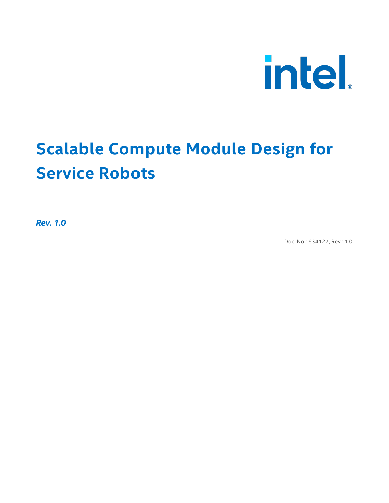

### **Scalable Compute Module Design for Service Robots**

*Rev. 1.0*

Doc. No.: 634127, Rev.: 1.0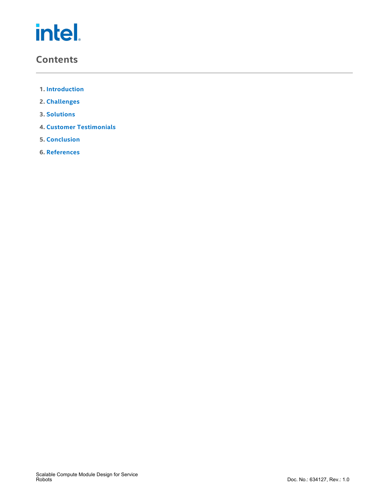#### **Contents**

- **1. [Introduction](#page-2-0)**
- **2. [Challenges](#page-2-1)**
- **3. [Solutions](#page-3-0)**
- **4. Customer [Testimonials](#page-6-0)**
- **5. [Conclusion](#page-8-0)**
- **6. [References](#page-9-0)**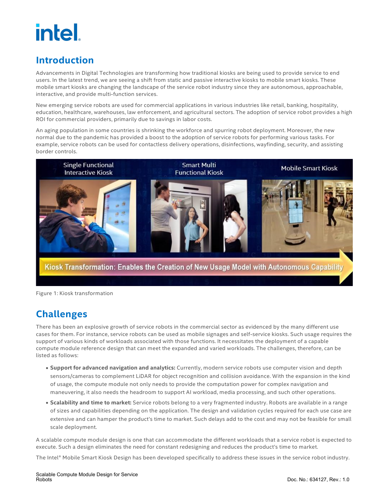#### <span id="page-2-0"></span>**Introduction**

Advancements in Digital Technologies are transforming how traditional kiosks are being used to provide service to end users. In the latest trend, we are seeing a shift from static and passive interactive kiosks to mobile smart kiosks. These mobile smart kiosks are changing the landscape of the service robot industry since they are autonomous, approachable, interactive, and provide multi-function services.

New emerging service robots are used for commercial applications in various industries like retail, banking, hospitality, education, healthcare, warehouses, law enforcement, and agricultural sectors. The adoption of service robot provides a high ROI for commercial providers, primarily due to savings in labor costs.

An aging population in some countries is shrinking the workforce and spurring robot deployment. Moreover, the new normal due to the pandemic has provided a boost to the adoption of service robots for performing various tasks. For example, service robots can be used for contactless delivery operations, disinfections, wayfinding, security, and assisting border controls.



Figure 1: Kiosk transformation

#### <span id="page-2-1"></span>**Challenges**

There has been an explosive growth of service robots in the commercial sector as evidenced by the many different use cases for them. For instance, service robots can be used as mobile signages and self-service kiosks. Such usage requires the support of various kinds of workloads associated with those functions. It necessitates the deployment of a capable compute module reference design that can meet the expanded and varied workloads. The challenges, therefore, can be listed as follows:

- **Support for advanced navigation and analytics:** Currently, modern service robots use computer vision and depth sensors/cameras to complement LiDAR for object recognition and collision avoidance. With the expansion in the kind of usage, the compute module not only needs to provide the computation power for complex navigation and maneuvering, it also needs the headroom to support AI workload, media processing, and such other operations.
- **Scalability and time to market:** Service robots belong to a very fragmented industry. Robots are available in a range of sizes and capabilities depending on the application. The design and validation cycles required foreach use case are extensive and can hamper the product's time to market. Such delays add to the cost and may not be feasible for small scale deployment.

A scalable compute module design is one that can accommodate the different workloads that a service robot is expected to execute. Such a design eliminates the need for constant redesigning and reduces the product's time to market.

The Intel® Mobile Smart Kiosk Design has been developed specifically to address these issues in the service robot industry.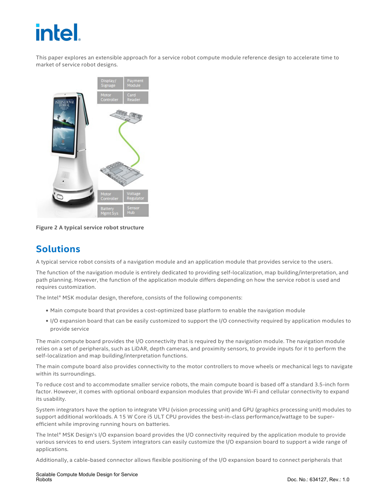This paper explores an extensible approach fora service robot compute module reference design to accelerate time to market of service robot designs.



**Figure 2 A typical service robot structure**

#### <span id="page-3-0"></span>**Solutions**

A typical service robot consists of a navigation module and an application module that provides service to the users.

The function of the navigation module is entirely dedicated to providing self-localization, map building/interpretation, and path planning. However, the function of the application module differs depending on how the service robot is used and requires customization.

The Intel® MSK modular design, therefore, consists of the following components:

- Main compute board that provides a cost-optimized base platform to enable the navigation module
- I/O expansion board that can be easily customized to support the I/O connectivity required by application modules to provide service

The main compute board provides the I/O connectivity that is required by the navigation module. The navigation module relies on a set of peripherals, such as LiDAR, depth cameras, and proximity sensors, to provide inputs for it to perform the self-localization and map building/interpretation functions.

The main compute board also provides connectivity to the motor controllers to move wheels or mechanical legs to navigate within its surroundings.

To reduce cost and to accommodate smaller service robots, the main compute board is based off a standard 3.5-inch form factor. However, it comes with optional onboard expansion modules that provide Wi-Fi and cellular connectivity to expand its usability.

System integrators have the option to integrate VPU (vision processing unit) and GPU (graphics processing unit) modules to support additional workloads. A 15 W Core i5 ULT CPU provides the best-in-class performance/wattage to be super efficient while improving running hours on batteries.

The Intel® MSK Design's I/O expansion board provides the I/O connectivity required by the application module to provide various services to end users. System integrators can easily customize the I/O expansion board to support a wide range of applications.

Additionally, a cable-based connector allows flexible positioning of the I/O expansion board to connect peripherals that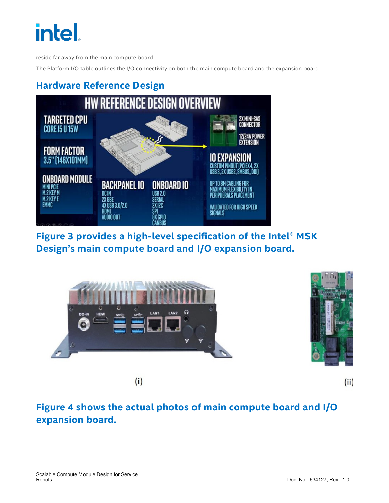reside far away from the main compute board.

The Platform I/O table outlines the I/O connectivity on both the main compute board and the expansion board.

#### **Hardware Reference Design**



**Figure 3 provides a high-level specification of the Intel® MSK Design's main compute board and I/O expansion board.**



 $(i)$ 

 $(ii)$ 

#### **Figure 4 shows the actual photos of main compute board and I/O expansion board.**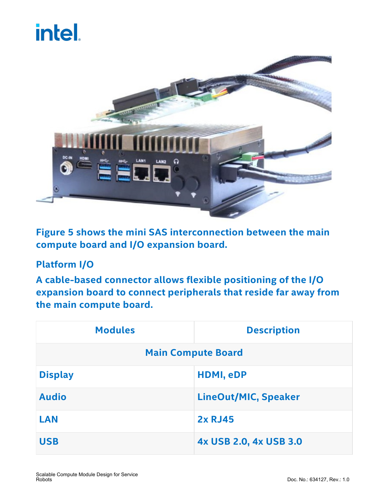

**Figure 5 shows the mini SAS interconnection between the main compute board and I/O expansion board.**

#### **Platform I/O**

**A cable-based connector allows flexible positioning of the I/O expansion board to connect peripherals that reside far away from the main compute board.**

| <b>Modules</b>            | <b>Description</b>          |
|---------------------------|-----------------------------|
| <b>Main Compute Board</b> |                             |
| <b>Display</b>            | HDMI, eDP                   |
| <b>Audio</b>              | <b>LineOut/MIC, Speaker</b> |
| <b>LAN</b>                | <b>2x RJ45</b>              |
| <b>USB</b>                | 4x USB 2.0, 4x USB 3.0      |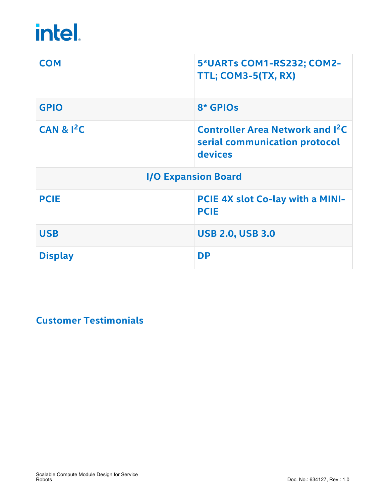| <b>COM</b>     | 5*UARTs COM1-RS232; COM2-<br>TTL; COM3-5(TX, RX)                                              |
|----------------|-----------------------------------------------------------------------------------------------|
| <b>GPIO</b>    | 8* GPIOs                                                                                      |
| CAN & $I^2C$   | <b>Controller Area Network and I<sup>2</sup>C</b><br>serial communication protocol<br>devices |
|                | <b>I/O Expansion Board</b>                                                                    |
| <b>PCIE</b>    | PCIE 4X slot Co-lay with a MINI-<br><b>PCIE</b>                                               |
| <b>USB</b>     | <b>USB 2.0, USB 3.0</b>                                                                       |
| <b>Display</b> | <b>DP</b>                                                                                     |

#### <span id="page-6-0"></span>**Customer Testimonials**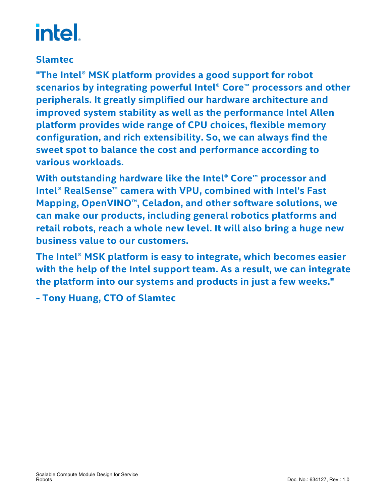#### **Slamtec**

**"The Intel® MSK platform provides a good support for robot scenarios by integrating powerful Intel® Core™ processors and other peripherals. It greatly simplified our hardware architecture and improved system stability as well as the performance Intel Allen platform provides wide range of CPU choices, flexible memory configuration, and rich extensibility. So, we can always find the sweet spot to balance the cost and performance according to various workloads.**

**With outstanding hardware like the Intel® Core™ processor and Intel® RealSense™ camera with VPU,combined with Intel's Fast Mapping, OpenVINO™, Celadon, and other software solutions, we can make our products, including general robotics platforms and retail robots, reach a whole new level. It will also bring a huge new business value to our customers.**

**The Intel® MSK platform is easy to integrate, which becomes easier with the help of the Intel support team. As a result, we can integrate the platform into our systems and products in just a few weeks."**

**- Tony Huang, CTO of Slamtec**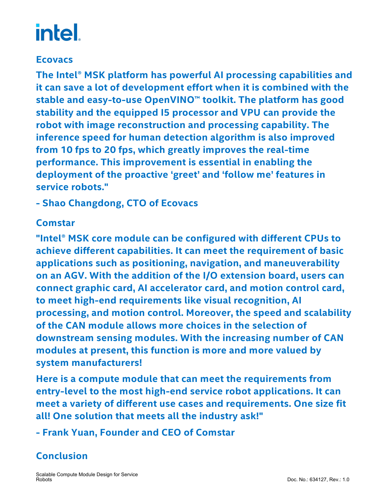#### **Ecovacs**

**The Intel® MSK platform has powerful AI processing capabilities and it can save a lot of development effort when it is combined with the stable and easy-to-use OpenVINO™ toolkit. The platform has good stability and the equipped I5 processor and VPU can provide the robot with image reconstruction and processing capability. The inference** speed for human detection algorithm is also improved **from 10 fps to 20 fps, which greatly improves the real-time performance. This improvement is essential in enabling the deployment of the proactive 'greet' and 'follow me' features in service robots."**

**- Shao Changdong, CTO of Ecovacs**

#### **Comstar**

**"Intel® MSK core module can be configured with different CPUs to achieve different capabilities. It can meet the requirement of basic applications such as positioning, navigation, and maneuverability on an AGV.With the addition of the I/O extension board, users can connect graphic card, AI accelerator card, and motion control card, to meet high-end requirements like visual recognition, AI processing, and motion control. Moreover, the speed and scalability of the CAN module allows more choices in the selection of downstream sensing modules. With the increasing number of CAN modules at present, this function is more and more valued by system manufacturers!**

**Here is a compute module that can meet the requirements from entry-level to the most high-end service robot applications. It can meet a variety of different use cases and requirements. One size fit all! One solution that meets all the industry ask!"**

**- Frank Yuan, Founder and CEO of Comstar**

#### <span id="page-8-0"></span>**Conclusion**